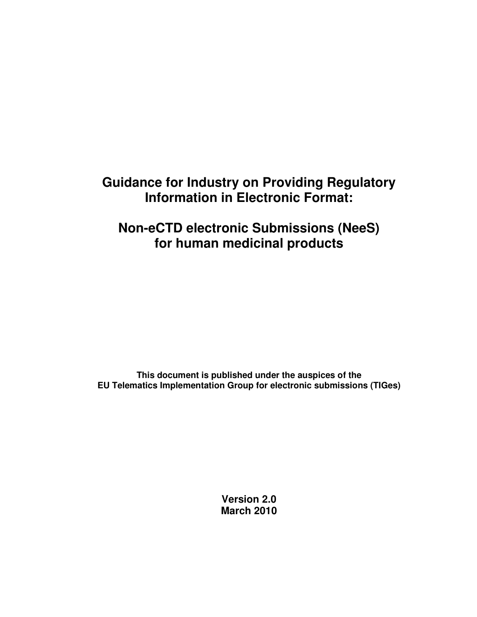# **Guidance for Industry on Providing Regulatory Information in Electronic Format:**

# **Non-eCTD electronic Submissions (NeeS) for human medicinal products**

**This document is published under the auspices of the EU Telematics Implementation Group for electronic submissions (TIGes)**

> **Version 2.0 March 2010**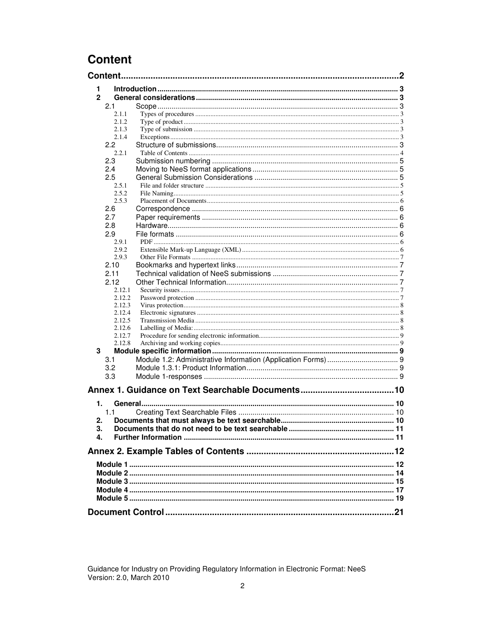## **Content**

| <b>Content.</b> |  |
|-----------------|--|
| 1               |  |
| $\overline{2}$  |  |
| 2.1             |  |
| 2.1.1           |  |
| 2.1.2           |  |
| 2.1.3           |  |
| 2.1.4           |  |
| 2.2             |  |
| 2.2.1           |  |
|                 |  |
| 2.3             |  |
| 2.4             |  |
| 2.5             |  |
| 2.5.1           |  |
| 2.5.2           |  |
| 2.5.3           |  |
| 2.6             |  |
| 2.7             |  |
| 2.8             |  |
| 2.9             |  |
| 2.9.1           |  |
| 2.9.2           |  |
| 2.9.3           |  |
| 2.10            |  |
| 2.11            |  |
| 2.12            |  |
| 2.12.1          |  |
| 2.12.2          |  |
| 2.12.3          |  |
| 2.12.4          |  |
| 2.12.5          |  |
| 2.12.6          |  |
| 2.12.7          |  |
| 2.12.8          |  |
| 3               |  |
| 3.1             |  |
| 3.2             |  |
|                 |  |
| 3.3             |  |
|                 |  |
|                 |  |
| 1.              |  |
| 1.1             |  |
| 2.              |  |
| 3.              |  |
| 4.              |  |
|                 |  |
|                 |  |
|                 |  |
|                 |  |
|                 |  |
|                 |  |
|                 |  |
|                 |  |
|                 |  |
|                 |  |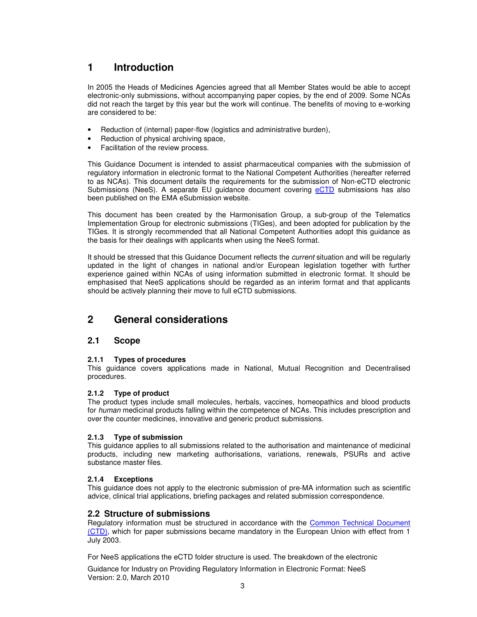## **1 Introduction**

In 2005 the Heads of Medicines Agencies agreed that all Member States would be able to accept electronic-only submissions, without accompanying paper copies, by the end of 2009. Some NCAs did not reach the target by this year but the work will continue. The benefits of moving to e-working are considered to be:

- Reduction of (internal) paper-flow (logistics and administrative burden),
- Reduction of physical archiving space,
- Facilitation of the review process.

This Guidance Document is intended to assist pharmaceutical companies with the submission of regulatory information in electronic format to the National Competent Authorities (hereafter referred to as NCAs). This document details the requirements for the submission of Non-eCTD electronic Submissions (NeeS). A separate EU guidance document covering eCTD submissions has also been published on the EMA eSubmission website.

This document has been created by the Harmonisation Group, a sub-group of the Telematics Implementation Group for electronic submissions (TIGes), and been adopted for publication by the TIGes. It is strongly recommended that all National Competent Authorities adopt this guidance as the basis for their dealings with applicants when using the NeeS format.

It should be stressed that this Guidance Document reflects the *current* situation and will be regularly updated in the light of changes in national and/or European legislation together with further experience gained within NCAs of using information submitted in electronic format. It should be emphasised that NeeS applications should be regarded as an interim format and that applicants should be actively planning their move to full eCTD submissions.

## **2 General considerations**

### **2.1 Scope**

#### **2.1.1 Types of procedures**

This guidance covers applications made in National, Mutual Recognition and Decentralised procedures.

#### **2.1.2 Type of product**

The product types include small molecules, herbals, vaccines, homeopathics and blood products for *human* medicinal products falling within the competence of NCAs. This includes prescription and over the counter medicines, innovative and generic product submissions.

#### **2.1.3 Type of submission**

This guidance applies to all submissions related to the authorisation and maintenance of medicinal products, including new marketing authorisations, variations, renewals, PSURs and active substance master files.

#### **2.1.4 Exceptions**

This guidance does not apply to the electronic submission of pre-MA information such as scientific advice, clinical trial applications, briefing packages and related submission correspondence.

#### **2.2 Structure of submissions**

Regulatory information must be structured in accordance with the Common Technical Document (CTD), which for paper submissions became mandatory in the European Union with effect from 1 July 2003.

For NeeS applications the eCTD folder structure is used. The breakdown of the electronic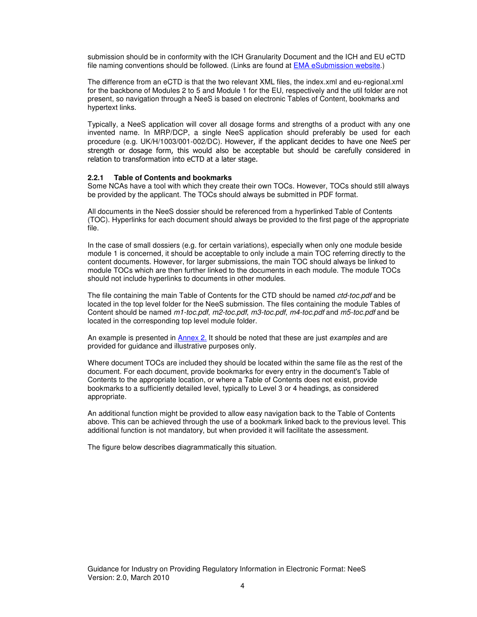submission should be in conformity with the ICH Granularity Document and the ICH and EU eCTD file naming conventions should be followed. (Links are found at **EMA eSubmission website.)** 

The difference from an eCTD is that the two relevant XML files, the index.xml and eu-regional.xml for the backbone of Modules 2 to 5 and Module 1 for the EU, respectively and the util folder are not present, so navigation through a NeeS is based on electronic Tables of Content, bookmarks and hypertext links.

Typically, a NeeS application will cover all dosage forms and strengths of a product with any one invented name. In MRP/DCP, a single NeeS application should preferably be used for each procedure (e.g. UK/H/1003/001-002/DC). However, if the applicant decides to have one NeeS per strength or dosage form, this would also be acceptable but should be carefully considered in relation to transformation into eCTD at a later stage.

#### **2.2.1 Table of Contents and bookmarks**

Some NCAs have a tool with which they create their own TOCs. However, TOCs should still always be provided by the applicant. The TOCs should always be submitted in PDF format.

All documents in the NeeS dossier should be referenced from a hyperlinked Table of Contents (TOC). Hyperlinks for each document should always be provided to the first page of the appropriate file.

In the case of small dossiers (e.g. for certain variations), especially when only one module beside module 1 is concerned, it should be acceptable to only include a main TOC referring directly to the content documents. However, for larger submissions, the main TOC should always be linked to module TOCs which are then further linked to the documents in each module. The module TOCs should not include hyperlinks to documents in other modules.

The file containing the main Table of Contents for the CTD should be named *ctd-toc.pdf* and be located in the top level folder for the NeeS submission. The files containing the module Tables of Content should be named *m1-toc.pdf*, *m2-toc.pdf*, *m3-toc.pdf*, *m4-toc.pdf* and *m5-toc.pdf* and be located in the corresponding top level module folder.

An example is presented in Annex 2. It should be noted that these are just *examples* and are provided for guidance and illustrative purposes only.

Where document TOCs are included they should be located within the same file as the rest of the document. For each document, provide bookmarks for every entry in the document's Table of Contents to the appropriate location, or where a Table of Contents does not exist, provide bookmarks to a sufficiently detailed level, typically to Level 3 or 4 headings, as considered appropriate.

An additional function might be provided to allow easy navigation back to the Table of Contents above. This can be achieved through the use of a bookmark linked back to the previous level. This additional function is not mandatory, but when provided it will facilitate the assessment.

The figure below describes diagrammatically this situation.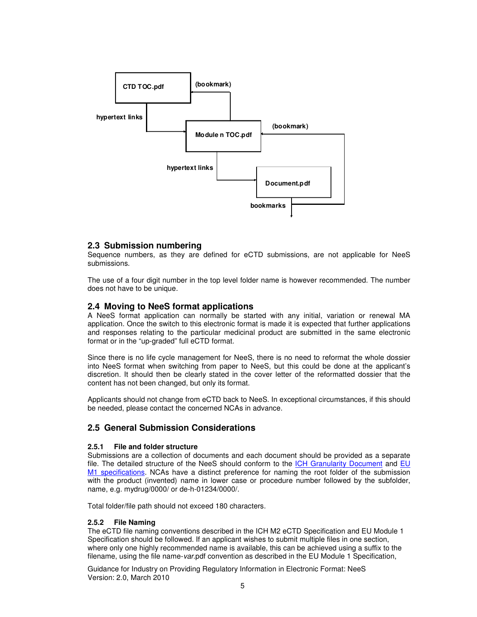

#### **2.3 Submission numbering**

Sequence numbers, as they are defined for eCTD submissions, are not applicable for NeeS submissions.

The use of a four digit number in the top level folder name is however recommended. The number does not have to be unique.

#### **2.4 Moving to NeeS format applications**

A NeeS format application can normally be started with any initial, variation or renewal MA application. Once the switch to this electronic format is made it is expected that further applications and responses relating to the particular medicinal product are submitted in the same electronic format or in the "up-graded" full eCTD format.

Since there is no life cycle management for NeeS, there is no need to reformat the whole dossier into NeeS format when switching from paper to NeeS, but this could be done at the applicant's discretion. It should then be clearly stated in the cover letter of the reformatted dossier that the content has not been changed, but only its format.

Applicants should not change from eCTD back to NeeS. In exceptional circumstances, if this should be needed, please contact the concerned NCAs in advance.

#### **2.5 General Submission Considerations**

#### **2.5.1 File and folder structure**

Submissions are a collection of documents and each document should be provided as a separate file. The detailed structure of the NeeS should conform to the ICH Granularity Document and EU M1 specifications. NCAs have a distinct preference for naming the root folder of the submission with the product (invented) name in lower case or procedure number followed by the subfolder, name, e.g. mydrug/0000/ or de-h-01234/0000/.

Total folder/file path should not exceed 180 characters.

#### **2.5.2 File Naming**

The eCTD file naming conventions described in the ICH M2 eCTD Specification and EU Module 1 Specification should be followed. If an applicant wishes to submit multiple files in one section, where only one highly recommended name is available, this can be achieved using a suffix to the filename, using the file name-*var*.pdf convention as described in the EU Module 1 Specification,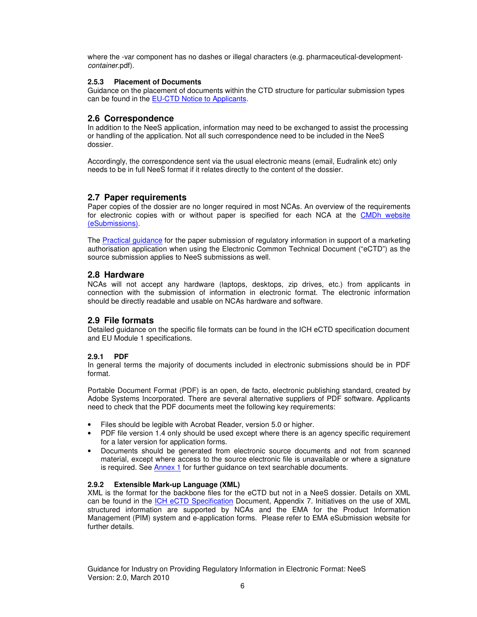where the -var component has no dashes or illegal characters (e.g. pharmaceutical-development*container*.pdf).

#### **2.5.3 Placement of Documents**

Guidance on the placement of documents within the CTD structure for particular submission types can be found in the EU-CTD Notice to Applicants.

#### **2.6 Correspondence**

In addition to the NeeS application, information may need to be exchanged to assist the processing or handling of the application. Not all such correspondence need to be included in the NeeS dossier.

Accordingly, the correspondence sent via the usual electronic means (email, Eudralink etc) only needs to be in full NeeS format if it relates directly to the content of the dossier.

#### **2.7 Paper requirements**

Paper copies of the dossier are no longer required in most NCAs. An overview of the requirements for electronic copies with or without paper is specified for each NCA at the CMDh website (eSubmissions).

The Practical guidance for the paper submission of regulatory information in support of a marketing authorisation application when using the Electronic Common Technical Document ("eCTD") as the source submission applies to NeeS submissions as well.

#### **2.8 Hardware**

NCAs will not accept any hardware (laptops, desktops, zip drives, etc.) from applicants in connection with the submission of information in electronic format. The electronic information should be directly readable and usable on NCAs hardware and software.

#### **2.9 File formats**

Detailed guidance on the specific file formats can be found in the ICH eCTD specification document and EU Module 1 specifications.

#### **2.9.1 PDF**

In general terms the majority of documents included in electronic submissions should be in PDF format.

Portable Document Format (PDF) is an open, de facto, electronic publishing standard, created by Adobe Systems Incorporated. There are several alternative suppliers of PDF software. Applicants need to check that the PDF documents meet the following key requirements:

- Files should be legible with Acrobat Reader, version 5.0 or higher.
- PDF file version 1.4 only should be used except where there is an agency specific requirement for a later version for application forms.
- Documents should be generated from electronic source documents and not from scanned material, except where access to the source electronic file is unavailable or where a signature is required. See Annex 1 for further guidance on text searchable documents.

#### **2.9.2 Extensible Mark-up Language (XML)**

XML is the format for the backbone files for the eCTD but not in a NeeS dossier. Details on XML can be found in the ICH eCTD Specification Document, Appendix 7. Initiatives on the use of XML structured information are supported by NCAs and the EMA for the Product Information Management (PIM) system and e-application forms. Please refer to EMA eSubmission website for further details.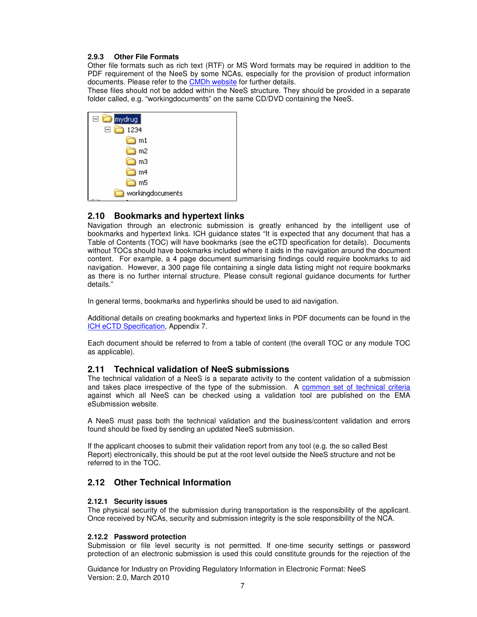#### **2.9.3 Other File Formats**

Other file formats such as rich text (RTF) or MS Word formats may be required in addition to the PDF requirement of the NeeS by some NCAs, especially for the provision of product information documents. Please refer to the CMDh website for further details.

These files should not be added within the NeeS structure. They should be provided in a separate folder called, e.g. "workingdocuments" on the same CD/DVD containing the NeeS.

| .<br>Imydrug     |
|------------------|
| e č<br>1234      |
| m1               |
| m <sub>2</sub>   |
| m3               |
| m4               |
| m5               |
| workingdocuments |

#### **2.10 Bookmarks and hypertext links**

Navigation through an electronic submission is greatly enhanced by the intelligent use of bookmarks and hypertext links. ICH guidance states "It is expected that any document that has a Table of Contents (TOC) will have bookmarks (see the eCTD specification for details). Documents without TOCs should have bookmarks included where it aids in the navigation around the document content. For example, a 4 page document summarising findings could require bookmarks to aid navigation. However, a 300 page file containing a single data listing might not require bookmarks as there is no further internal structure. Please consult regional guidance documents for further details."

In general terms, bookmarks and hyperlinks should be used to aid navigation.

Additional details on creating bookmarks and hypertext links in PDF documents can be found in the ICH eCTD Specification, Appendix 7.

Each document should be referred to from a table of content (the overall TOC or any module TOC as applicable).

#### **2.11 Technical validation of NeeS submissions**

The technical validation of a NeeS is a separate activity to the content validation of a submission and takes place irrespective of the type of the submission. A common set of technical criteria against which all NeeS can be checked using a validation tool are published on the EMA eSubmission website.

A NeeS must pass both the technical validation and the business/content validation and errors found should be fixed by sending an updated NeeS submission.

If the applicant chooses to submit their validation report from any tool (e.g. the so called Best Report) electronically, this should be put at the root level outside the NeeS structure and not be referred to in the TOC.

#### **2.12 Other Technical Information**

#### **2.12.1 Security issues**

The physical security of the submission during transportation is the responsibility of the applicant. Once received by NCAs, security and submission integrity is the sole responsibility of the NCA.

#### **2.12.2 Password protection**

Submission or file level security is not permitted. If one-time security settings or password protection of an electronic submission is used this could constitute grounds for the rejection of the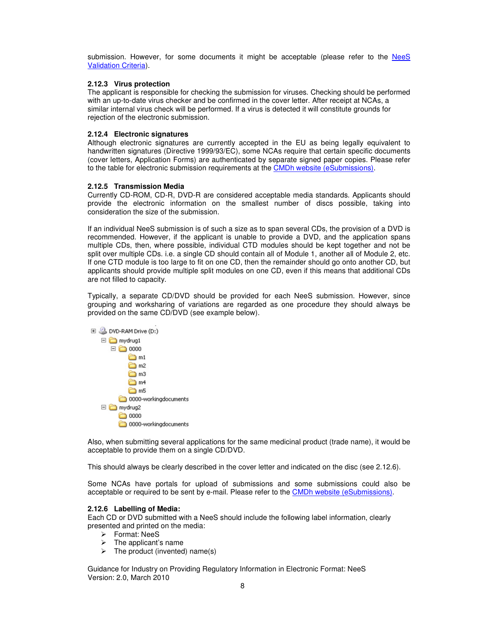submission. However, for some documents it might be acceptable (please refer to the NeeS Validation Criteria).

#### **2.12.3 Virus protection**

The applicant is responsible for checking the submission for viruses. Checking should be performed with an up-to-date virus checker and be confirmed in the cover letter. After receipt at NCAs, a similar internal virus check will be performed. If a virus is detected it will constitute grounds for rejection of the electronic submission.

#### **2.12.4 Electronic signatures**

Although electronic signatures are currently accepted in the EU as being legally equivalent to handwritten signatures (Directive 1999/93/EC), some NCAs require that certain specific documents (cover letters, Application Forms) are authenticated by separate signed paper copies. Please refer to the table for electronic submission requirements at the CMDh website (eSubmissions).

#### **2.12.5 Transmission Media**

Currently CD-ROM, CD-R, DVD-R are considered acceptable media standards. Applicants should provide the electronic information on the smallest number of discs possible, taking into consideration the size of the submission.

If an individual NeeS submission is of such a size as to span several CDs, the provision of a DVD is recommended. However, if the applicant is unable to provide a DVD, and the application spans multiple CDs, then, where possible, individual CTD modules should be kept together and not be split over multiple CDs. i.e. a single CD should contain all of Module 1, another all of Module 2, etc. If one CTD module is too large to fit on one CD, then the remainder should go onto another CD, but applicants should provide multiple split modules on one CD, even if this means that additional CDs are not filled to capacity.

Typically, a separate CD/DVD should be provided for each NeeS submission. However, since grouping and worksharing of variations are regarded as one procedure they should always be provided on the same CD/DVD (see example below).



Also, when submitting several applications for the same medicinal product (trade name), it would be acceptable to provide them on a single CD/DVD.

This should always be clearly described in the cover letter and indicated on the disc (see 2.12.6).

Some NCAs have portals for upload of submissions and some submissions could also be acceptable or required to be sent by e-mail. Please refer to the CMDh website (eSubmissions).

#### **2.12.6 Labelling of Media:**

Each CD or DVD submitted with a NeeS should include the following label information, clearly presented and printed on the media:

- Format: NeeS
- $\triangleright$  The applicant's name
- $\triangleright$  The product (invented) name(s)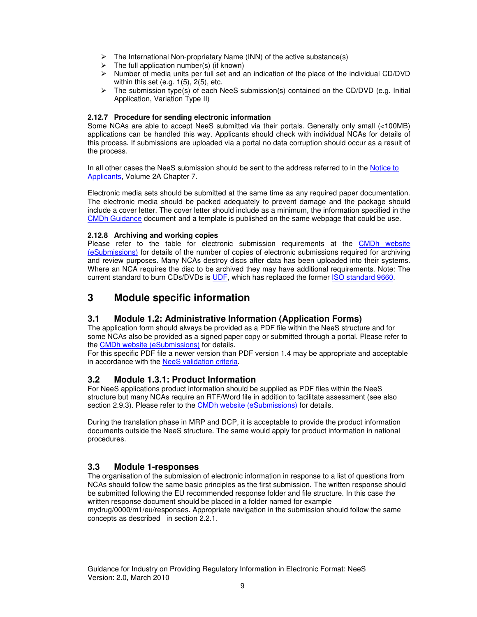- $\triangleright$  The International Non-proprietary Name (INN) of the active substance(s)
- The full application number(s) (if known)<br>
> Number of media units per full set and a
- Number of media units per full set and an indication of the place of the individual CD/DVD within this set (e.g. 1(5), 2(5), etc.
- The submission type(s) of each NeeS submission(s) contained on the CD/DVD (e.g. Initial Application, Variation Type II)

#### **2.12.7 Procedure for sending electronic information**

Some NCAs are able to accept NeeS submitted via their portals. Generally only small (<100MB) applications can be handled this way. Applicants should check with individual NCAs for details of this process. If submissions are uploaded via a portal no data corruption should occur as a result of the process.

In all other cases the NeeS submission should be sent to the address referred to in the Notice to Applicants, Volume 2A Chapter 7.

Electronic media sets should be submitted at the same time as any required paper documentation. The electronic media should be packed adequately to prevent damage and the package should include a cover letter. The cover letter should include as a minimum, the information specified in the CMDh Guidance document and a template is published on the same webpage that could be use.

#### **2.12.8 Archiving and working copies**

Please refer to the table for electronic submission requirements at the CMDh website (eSubmissions) for details of the number of copies of electronic submissions required for archiving and review purposes. Many NCAs destroy discs after data has been uploaded into their systems. Where an NCA requires the disc to be archived they may have additional requirements. Note: The current standard to burn CDs/DVDs is UDF, which has replaced the former ISO standard 9660.

## **3 Module specific information**

#### **3.1 Module 1.2: Administrative Information (Application Forms)**

The application form should always be provided as a PDF file within the NeeS structure and for some NCAs also be provided as a signed paper copy or submitted through a portal. Please refer to the CMDh website (eSubmissions) for details.

For this specific PDF file a newer version than PDF version 1.4 may be appropriate and acceptable in accordance with the NeeS validation criteria.

#### **3.2 Module 1.3.1: Product Information**

For NeeS applications product information should be supplied as PDF files within the NeeS structure but many NCAs require an RTF/Word file in addition to facilitate assessment (see also section 2.9.3). Please refer to the CMDh website (eSubmissions) for details.

During the translation phase in MRP and DCP, it is acceptable to provide the product information documents outside the NeeS structure. The same would apply for product information in national procedures.

#### **3.3 Module 1-responses**

The organisation of the submission of electronic information in response to a list of questions from NCAs should follow the same basic principles as the first submission. The written response should be submitted following the EU recommended response folder and file structure. In this case the written response document should be placed in a folder named for example mydrug/0000/m1/eu/responses. Appropriate navigation in the submission should follow the same concepts as described in section 2.2.1.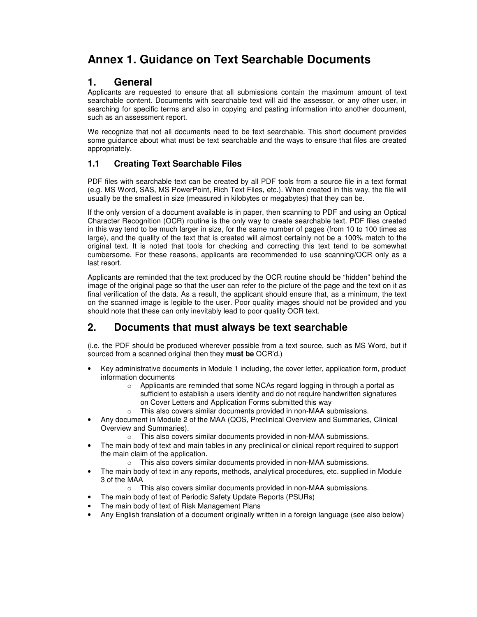## **Annex 1. Guidance on Text Searchable Documents**

## **1. General**

Applicants are requested to ensure that all submissions contain the maximum amount of text searchable content. Documents with searchable text will aid the assessor, or any other user, in searching for specific terms and also in copying and pasting information into another document, such as an assessment report.

We recognize that not all documents need to be text searchable. This short document provides some guidance about what must be text searchable and the ways to ensure that files are created appropriately.

### **1.1 Creating Text Searchable Files**

PDF files with searchable text can be created by all PDF tools from a source file in a text format (e.g. MS Word, SAS, MS PowerPoint, Rich Text Files, etc.). When created in this way, the file will usually be the smallest in size (measured in kilobytes or megabytes) that they can be.

If the only version of a document available is in paper, then scanning to PDF and using an Optical Character Recognition (OCR) routine is the only way to create searchable text. PDF files created in this way tend to be much larger in size, for the same number of pages (from 10 to 100 times as large), and the quality of the text that is created will almost certainly not be a 100% match to the original text. It is noted that tools for checking and correcting this text tend to be somewhat cumbersome. For these reasons, applicants are recommended to use scanning/OCR only as a last resort.

Applicants are reminded that the text produced by the OCR routine should be "hidden" behind the image of the original page so that the user can refer to the picture of the page and the text on it as final verification of the data. As a result, the applicant should ensure that, as a minimum, the text on the scanned image is legible to the user. Poor quality images should not be provided and you should note that these can only inevitably lead to poor quality OCR text.

## **2. Documents that must always be text searchable**

(i.e. the PDF should be produced wherever possible from a text source, such as MS Word, but if sourced from a scanned original then they **must be** OCR'd.)

- Key administrative documents in Module 1 including, the cover letter, application form, product information documents
	- o Applicants are reminded that some NCAs regard logging in through a portal as sufficient to establish a users identity and do not require handwritten signatures on Cover Letters and Application Forms submitted this way
	- o This also covers similar documents provided in non-MAA submissions.
- Any document in Module 2 of the MAA (QOS, Preclinical Overview and Summaries, Clinical Overview and Summaries).
	- o This also covers similar documents provided in non-MAA submissions.
- The main body of text and main tables in any preclinical or clinical report required to support the main claim of the application.
	- o This also covers similar documents provided in non-MAA submissions.
- The main body of text in any reports, methods, analytical procedures, etc. supplied in Module 3 of the MAA
	- o This also covers similar documents provided in non-MAA submissions.
	- The main body of text of Periodic Safety Update Reports (PSURs)
- The main body of text of Risk Management Plans
- Any English translation of a document originally written in a foreign language (see also below)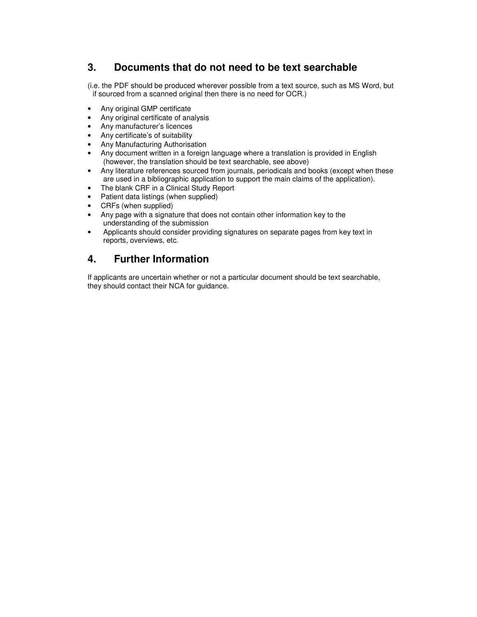## **3. Documents that do not need to be text searchable**

(i.e. the PDF should be produced wherever possible from a text source, such as MS Word, but if sourced from a scanned original then there is no need for OCR.)

- Any original GMP certificate
- Any original certificate of analysis
- Any manufacturer's licences
- Any certificate's of suitability
- Any Manufacturing Authorisation
- Any document written in a foreign language where a translation is provided in English (however, the translation should be text searchable, see above)
- Any literature references sourced from journals, periodicals and books (except when these are used in a bibliographic application to support the main claims of the application).
- The blank CRF in a Clinical Study Report
- Patient data listings (when supplied)
- CRFs (when supplied)
- Any page with a signature that does not contain other information key to the understanding of the submission
- Applicants should consider providing signatures on separate pages from key text in reports, overviews, etc.

## **4. Further Information**

If applicants are uncertain whether or not a particular document should be text searchable, they should contact their NCA for guidance.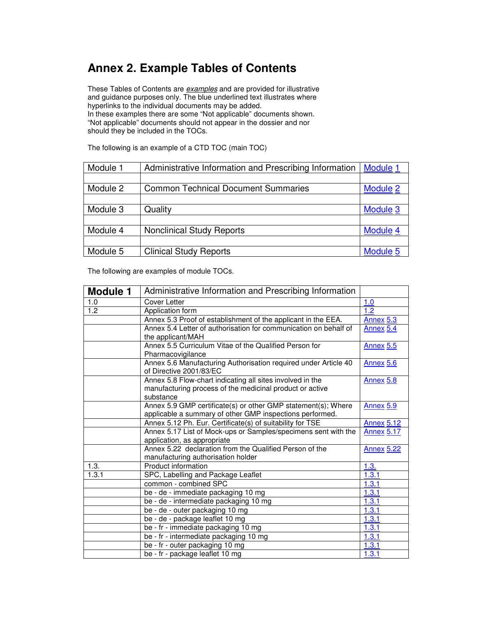## **Annex 2. Example Tables of Contents**

These Tables of Contents are *examples* and are provided for illustrative and guidance purposes only. The blue underlined text illustrates where hyperlinks to the individual documents may be added. In these examples there are some "Not applicable" documents shown.

"Not applicable" documents should not appear in the dossier and nor should they be included in the TOCs.

| Module 1 | Administrative Information and Prescribing Information | Module 1 |
|----------|--------------------------------------------------------|----------|
|          |                                                        |          |
| Module 2 | <b>Common Technical Document Summaries</b>             | Module 2 |
|          |                                                        |          |
| Module 3 | Quality                                                | Module 3 |
|          |                                                        |          |
| Module 4 | <b>Nonclinical Study Reports</b>                       | Module 4 |
|          |                                                        |          |
| Module 5 | <b>Clinical Study Reports</b>                          | Module 5 |

The following is an example of a CTD TOC (main TOC)

The following are examples of module TOCs.

| <b>Module 1</b> | Administrative Information and Prescribing Information                                                                             |                   |
|-----------------|------------------------------------------------------------------------------------------------------------------------------------|-------------------|
| 1.0             | <b>Cover Letter</b>                                                                                                                | 1.0               |
| 1.2             | Application form                                                                                                                   | 1.2               |
|                 | Annex 5.3 Proof of establishment of the applicant in the EEA.                                                                      | <b>Annex 5.3</b>  |
|                 | Annex 5.4 Letter of authorisation for communication on behalf of<br>the applicant/MAH                                              | Annex 5.4         |
|                 | Annex 5.5 Curriculum Vitae of the Qualified Person for<br>Pharmacovigilance                                                        | <b>Annex 5.5</b>  |
|                 | Annex 5.6 Manufacturing Authorisation required under Article 40<br>of Directive 2001/83/EC                                         | <b>Annex 5.6</b>  |
|                 | Annex 5.8 Flow-chart indicating all sites involved in the<br>manufacturing process of the medicinal product or active<br>substance | <b>Annex 5.8</b>  |
|                 | Annex 5.9 GMP certificate(s) or other GMP statement(s); Where<br>applicable a summary of other GMP inspections performed.          | <b>Annex 5.9</b>  |
|                 | Annex 5.12 Ph. Eur. Certificate(s) of suitability for TSE                                                                          | <b>Annex 5.12</b> |
|                 | Annex 5.17 List of Mock-ups or Samples/specimens sent with the                                                                     | <b>Annex 5.17</b> |
|                 | application, as appropriate                                                                                                        |                   |
|                 | Annex 5.22 declaration from the Qualified Person of the                                                                            | <b>Annex 5.22</b> |
|                 | manufacturing authorisation holder                                                                                                 |                   |
| 1.3.            | Product information                                                                                                                | 1.3.              |
| 1.3.1           | SPC, Labelling and Package Leaflet                                                                                                 | 1.3.1             |
|                 | common - combined SPC                                                                                                              | 1.3.1             |
|                 | be - de - immediate packaging 10 mg                                                                                                | 1.3.1             |
|                 | be - de - intermediate packaging 10 mg                                                                                             | 1.3.1             |
|                 | be - de - outer packaging 10 mg                                                                                                    | 1.3.1             |
|                 | be - de - package leaflet 10 mg                                                                                                    | 1.3.1             |
|                 | be - fr - immediate packaging 10 mg                                                                                                | 1.3.1             |
|                 | be - fr - intermediate packaging 10 mg                                                                                             | 1.3.1             |
|                 | be - fr - outer packaging 10 mg                                                                                                    | 1.3.1             |
|                 | be - fr - package leaflet 10 mg                                                                                                    | 1.3.1             |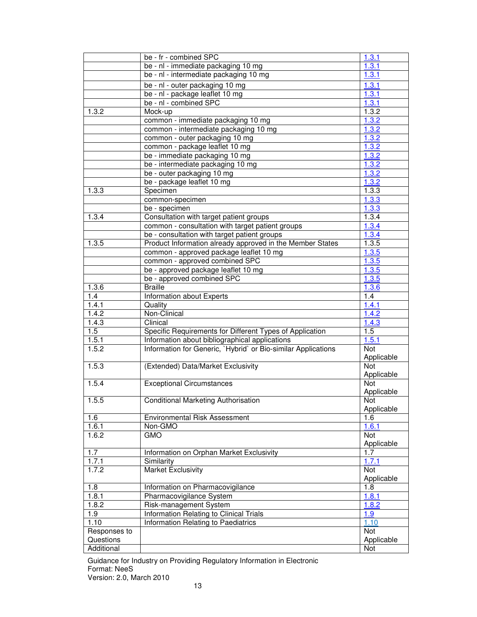|              | be - fr - combined SPC                                        | 1.3.1      |
|--------------|---------------------------------------------------------------|------------|
|              | be - nl - immediate packaging 10 mg                           | 1.3.1      |
|              | be - nl - intermediate packaging 10 mg                        | 1.3.1      |
|              | be - nl - outer packaging 10 mg                               | 1.3.1      |
|              | be - nl - package leaflet 10 mg                               | 1.3.1      |
|              | be - nl - combined SPC                                        | 1.3.1      |
| 1.3.2        | Mock-up                                                       | 1.3.2      |
|              | common - immediate packaging 10 mg                            | 1.3.2      |
|              | common - intermediate packaging 10 mg                         | 1.3.2      |
|              | common - outer packaging 10 mg                                | 1.3.2      |
|              | common - package leaflet 10 mg                                | 1.3.2      |
|              | be - immediate packaging 10 mg                                | 1.3.2      |
|              | be - intermediate packaging 10 mg                             | 1.3.2      |
|              | be - outer packaging 10 mg                                    | 1.3.2      |
|              | be - package leaflet 10 mg                                    | 1.3.2      |
| 1.3.3        | Specimen                                                      | 1.3.3      |
|              | common-specimen                                               | 1.3.3      |
|              | be - specimen                                                 | 1.3.3      |
| 1.3.4        | Consultation with target patient groups                       | 1.3.4      |
|              | common - consultation with target patient groups              | 1.3.4      |
|              | be - consultation with target patient groups                  | 1.3.4      |
| 1.3.5        | Product Information already approved in the Member States     | 1.3.5      |
|              | common - approved package leaflet 10 mg                       | 1.3.5      |
|              | common - approved combined SPC                                | 1.3.5      |
|              | be - approved package leaflet 10 mg                           | 1.3.5      |
|              | be - approved combined SPC                                    | 1.3.5      |
| 1.3.6        | <b>Braille</b>                                                | 1.3.6      |
| 1.4          | Information about Experts                                     | 1.4        |
| 1.4.1        | Quality                                                       | 1.4.1      |
| 1.4.2        | Non-Clinical                                                  | 1.4.2      |
| 1.4.3        | Clinical                                                      | 1.4.3      |
| 1.5          | Specific Requirements for Different Types of Application      | 1.5        |
| 1.5.1        | Information about bibliographical applications                | 1.5.1      |
| 1.5.2        | Information for Generic, `Hybrid` or Bio-similar Applications | Not        |
|              |                                                               | Applicable |
| 1.5.3        | (Extended) Data/Market Exclusivity                            | Not        |
|              |                                                               | Applicable |
| 1.5.4        | <b>Exceptional Circumstances</b>                              | Not        |
|              |                                                               | Applicable |
| 1.5.5        | <b>Conditional Marketing Authorisation</b>                    | Not        |
|              |                                                               | Applicable |
| 1.6          | Environmental Risk Assessment                                 | 1.6        |
| 1.6.1        | Non-GMO                                                       | 1.6.1      |
| 1.6.2        | <b>GMO</b>                                                    | Not        |
|              |                                                               | Applicable |
| 1.7          | Information on Orphan Market Exclusivity                      | 1.7        |
| 1.7.1        | Similarity                                                    | 1.7.1      |
| 1.7.2        | <b>Market Exclusivity</b>                                     | Not        |
|              |                                                               | Applicable |
| 1.8          | Information on Pharmacovigilance                              | 1.8        |
| 1.8.1        | Pharmacovigilance System                                      | 1.8.1      |
| 1.8.2        | Risk-management System                                        | 1.8.2      |
| 1.9          | Information Relating to Clinical Trials                       | 1.9        |
| 1.10         | Information Relating to Paediatrics                           | 1.10       |
| Responses to |                                                               | Not        |
| Questions    |                                                               | Applicable |
| Additional   |                                                               | Not        |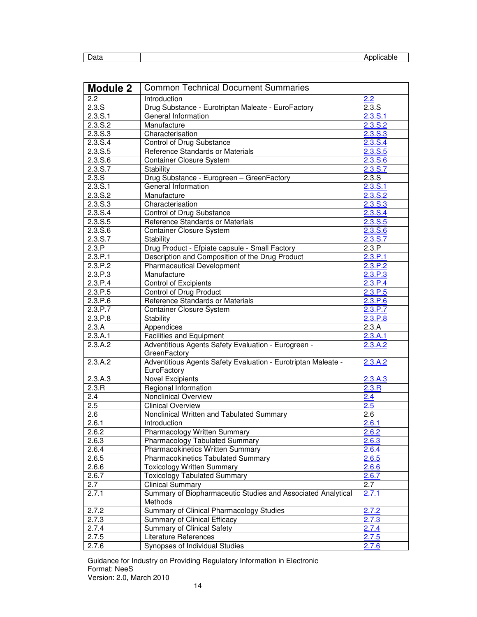| Data | plicable<br>Δr<br>ามเ |
|------|-----------------------|

| <b>Module 2</b>    | <b>Common Technical Document Summaries</b>                    |                  |
|--------------------|---------------------------------------------------------------|------------------|
| 2.2                | Introduction                                                  | 2.2              |
| 2.3.S              | Drug Substance - Eurotriptan Maleate - EuroFactory            | 2.3.S            |
| 2.3. S.1           | General Information                                           | 2.3. S.1         |
| 2.3. S.2           | Manufacture                                                   | 2.3. S.2         |
| 2.3.S.3            | Characterisation                                              | 2.3.5.3          |
| 2.3.S.4            | Control of Drug Substance                                     | 2.3. S.4         |
| 2.3. S. 5          | Reference Standards or Materials                              | 2.3.S.5          |
| 2.3. S.6           | <b>Container Closure System</b>                               | 2.3.S.6          |
| 2.3.S.7            | Stability                                                     | 2.3.S.7          |
| 2.3.S              | Drug Substance - Eurogreen - GreenFactory                     | 2.3.S            |
| 2.3. S.1           | General Information                                           | 2.3. S.1         |
| 2.3. S.2           | Manufacture                                                   | 2.3.5.2          |
| 2.3.S.3            | Characterisation                                              | 2.3. S.3         |
| 2.3.S.4            | Control of Drug Substance                                     | 2.3. S.4         |
| 2.3.5.5            | Reference Standards or Materials                              | 2.3.5.5          |
| 2.3.5.6            | <b>Container Closure System</b>                               | 2.3.S.6          |
| 2.3.S.7            | Stability                                                     | 2.3.5.7          |
| 2.3.P              | Drug Product - Efpiate capsule - Small Factory                | 2.3.P            |
| 2.3.P.1            | Description and Composition of the Drug Product               | 2.3.P.1          |
| 2.3.P.2            | <b>Pharmaceutical Development</b>                             | 2.3.P.2          |
| 2.3.P.3            | Manufacture                                                   | 2.3.P.3          |
| 2.3.P.4            | <b>Control of Excipients</b>                                  | 2.3.P.4          |
| 2.3.P.5            | <b>Control of Drug Product</b>                                | 2.3.P.5          |
| 2.3.P.6            | Reference Standards or Materials                              | 2.3.P.6          |
| 2.3.P.7            | <b>Container Closure System</b>                               | 2.3.P.7          |
| 2.3.P.8            | Stability                                                     |                  |
| 2.3.A              | Appendices                                                    | 2.3.P.8<br>2.3.A |
| 2.3.A.1            | <b>Facilities and Equipment</b>                               | 2.3.A.1          |
| 2.3.A.2            | Adventitious Agents Safety Evaluation - Eurogreen -           | 2.3.A.2          |
|                    | GreenFactory                                                  |                  |
| 2.3.A.2            | Adventitious Agents Safety Evaluation - Eurotriptan Maleate - | 2.3.A.2          |
|                    | EuroFactory                                                   |                  |
| 2.3.A.3            | <b>Novel Excipients</b>                                       | 2.3.A.3          |
| $2.\overline{3.R}$ | Regional Information                                          | 2.3.R            |
| 2.4                | Nonclinical Overview                                          | 2.4              |
| 2.5                | <b>Clinical Overview</b>                                      | 2.5              |
| $\overline{2.6}$   | Nonclinical Written and Tabulated Summary                     | $\overline{2.6}$ |
| 2.6.1              | Introduction                                                  | 2.6.1            |
| 2.6.2              | <b>Pharmacology Written Summary</b>                           | 2.6.2            |
| 2.6.3              | Pharmacology Tabulated Summary                                | 2.6.3            |
| 2.6.4              | <b>Pharmacokinetics Written Summary</b>                       | 2.6.4            |
| 2.6.5              | <b>Pharmacokinetics Tabulated Summary</b>                     | 2.6.5            |
| 2.6.6              | <b>Toxicology Written Summary</b>                             | 2.6.6            |
| 2.6.7              | <b>Toxicology Tabulated Summary</b>                           | 2.6.7            |
| 2.7                | <b>Clinical Summary</b>                                       | 2.7              |
| 2.7.1              | Summary of Biopharmaceutic Studies and Associated Analytical  | 2.7.1            |
|                    | Methods                                                       |                  |
| 2.7.2              | Summary of Clinical Pharmacology Studies                      | 2.7.2            |
| 2.7.3              | Summary of Clinical Efficacy                                  | 2.7.3            |
| 2.7.4              | Summary of Clinical Safety                                    | 2.7.4            |
| 2.7.5              | Literature References                                         | 2.7.5            |
| 2.7.6              | Synopses of Individual Studies                                | 2.7.6            |

Guidance for Industry on Providing Regulatory Information in Electronic Format: NeeS

Version: 2.0, March 2010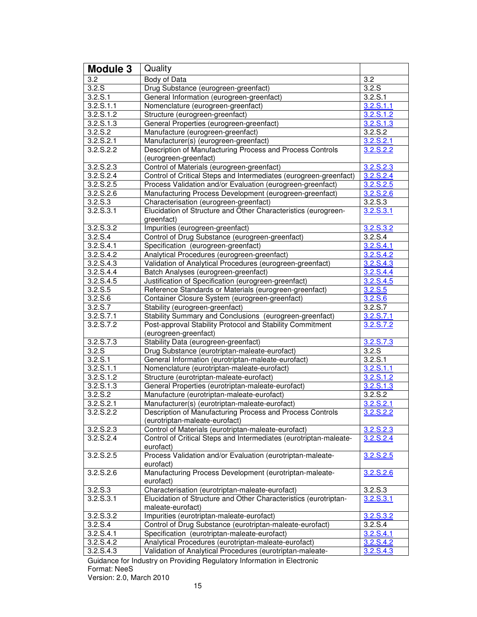| <b>Module 3</b>        | Quality                                                                                     |                       |
|------------------------|---------------------------------------------------------------------------------------------|-----------------------|
| 3.2                    | Body of Data                                                                                | 3.2                   |
| $\overline{3.2}$ .S    | Drug Substance (eurogreen-greenfact)                                                        | 3.2.5                 |
| 3.2. S.1               | General Information (eurogreen-greenfact)                                                   | 3.2. S.1              |
| 3.2. S. 1.1            | Nomenclature (eurogreen-greenfact)                                                          | 3.2. S. 1.1           |
| 3.2. S. 1.2            | Structure (eurogreen-greenfact)                                                             | 3.2. S. 1.2           |
| 3.2. S. 1.3            | General Properties (eurogreen-greenfact)                                                    | 3.2. S. 1.3           |
| 3.2. S.2               | Manufacture (eurogreen-greenfact)                                                           | 3.2. S.2              |
| $3.\overline{2.5.2.1}$ | Manufacturer(s) (eurogreen-greenfact)                                                       | 3.2.5.2.1             |
| 3.2. S. 2.2            | Description of Manufacturing Process and Process Controls<br>(eurogreen-greenfact)          | 3.2.S.2.2             |
| 3.2. S. 2.3            | Control of Materials (eurogreen-greenfact)                                                  | 3.2.S.2.3             |
| 3.2.5.2.4              | Control of Critical Steps and Intermediates (eurogreen-greenfact)                           | 3.2.S.2.4             |
| 3.2. S. 2.5            | Process Validation and/or Evaluation (eurogreen-greenfact)                                  | 3.2.S.2.5             |
| 3.2. S. 2.6            | Manufacturing Process Development (eurogreen-greenfact)                                     | 3.2.S.2.6             |
| 3.2. S.3               | Characterisation (eurogreen-greenfact)                                                      | 3.2. S.3              |
| 3.2. S.3.1             | Elucidation of Structure and Other Characteristics (eurogreen-<br>greenfact)                | 3.2. S.3.1            |
| 3.2.S.3.2              | Impurities (eurogreen-greenfact)                                                            | 3.2.S.3.2             |
| 3.2. S.4               | Control of Drug Substance (eurogreen-greenfact)                                             | 3.2. S.4              |
| 3.2. S. 4.1            | Specification (eurogreen-greenfact)                                                         | 3.2.S.4.1             |
| 3.2.S.4.2              | Analytical Procedures (eurogreen-greenfact)                                                 | 3.2.S.4.2             |
| 3.2.S.4.3              | Validation of Analytical Procedures (eurogreen-greenfact)                                   | 3.2.S.4.3             |
| 3.2.S.4.4              | Batch Analyses (eurogreen-greenfact)                                                        | 3.2.S.4.4             |
| 3.2.S.4.5              | Justification of Specification (eurogreen-greenfact)                                        | 3.2.S.4.5             |
| 3.2. S.5               | Reference Standards or Materials (eurogreen-greenfact)                                      | 3.2.S.5               |
| 3.2. S.6               | Container Closure System (eurogreen-greenfact)                                              | 3.2.S.6               |
| 3.2. S.7               | Stability (eurogreen-greenfact)                                                             | 3.2. S.7              |
| 3.2. S. 7.1            | Stability Summary and Conclusions (eurogreen-greenfact)                                     | 3.2. S. 7.1           |
| 3.2.S.7.2              | Post-approval Stability Protocol and Stability Commitment<br>(eurogreen-greenfact)          | 3.2.S.7.2             |
| 3.2.S.7.3              | Stability Data (eurogreen-greenfact)                                                        | 3.2.S.7.3             |
| 3.2.S                  | Drug Substance (eurotriptan-maleate-eurofact)                                               | 3.2.S                 |
| 3.2. S.1               | General Information (eurotriptan-maleate-eurofact)                                          | 3.2. S.1              |
| 3.2. S. 1.1            | Nomenclature (eurotriptan-maleate-eurofact)                                                 | 3.2. S. 1.1           |
| 3.2. S. 1.2            | Structure (eurotriptan-maleate-eurofact)                                                    | 3.2.S.1.2             |
| 3.2. S. 1.3            | General Properties (eurotriptan-maleate-eurofact)                                           | 3.2.S.1.3             |
| 3.2. S.2               | Manufacture (eurotriptan-maleate-eurofact)                                                  | $3.2. S.\overline{2}$ |
| 3.2. S. 2.1            | Manufacturer(s) (eurotriptan-maleate-eurofact)                                              | 3.2.S.2.1             |
| 3.2.S.2.2              | Description of Manufacturing Process and Process Controls<br>(eurotriptan-maleate-eurofact) | 3.2.S.2.2             |
| 3.2.S.2.3              | Control of Materials (eurotriptan-maleate-eurofact)                                         | 3.2.S.2.3             |
| 3.2.S.2.4              | Control of Critical Steps and Intermediates (eurotriptan-maleate-<br>eurofact)              | 3.2.S.2.4             |
| 3.2. S. 2.5            | Process Validation and/or Evaluation (eurotriptan-maleate-<br>eurofact)                     | 3.2.S.2.5             |
| 3.2. S. 2.6            | Manufacturing Process Development (eurotriptan-maleate-<br>eurofact)                        | 3.2.S.2.6             |
| 3.2. S.3               | Characterisation (eurotriptan-maleate-eurofact)                                             | 3.2. S.3              |
| 3.2. S.3.1             | Elucidation of Structure and Other Characteristics (eurotriptan-<br>maleate-eurofact)       | 3.2.S.3.1             |
| 3.2.S.3.2              | Impurities (eurotriptan-maleate-eurofact)                                                   | 3.2.S.3.2             |
| 3.2. S.4               | Control of Drug Substance (eurotriptan-maleate-eurofact)                                    | 3.2. S.4              |
| 3.2.S.4.1              | Specification (eurotriptan-maleate-eurofact)                                                | 3.2.S.4.1             |
| 3.2.S.4.2              | Analytical Procedures (eurotriptan-maleate-eurofact)                                        | 3.2.S.4.2             |
| 3.2. S. 4.3            | Validation of Analytical Procedures (eurotriptan-maleate-                                   | 3.2.S.4.3             |
|                        |                                                                                             |                       |

Guidance for Industry on Providing Regulatory Information in Electronic

Format: NeeS

Version: 2.0, March 2010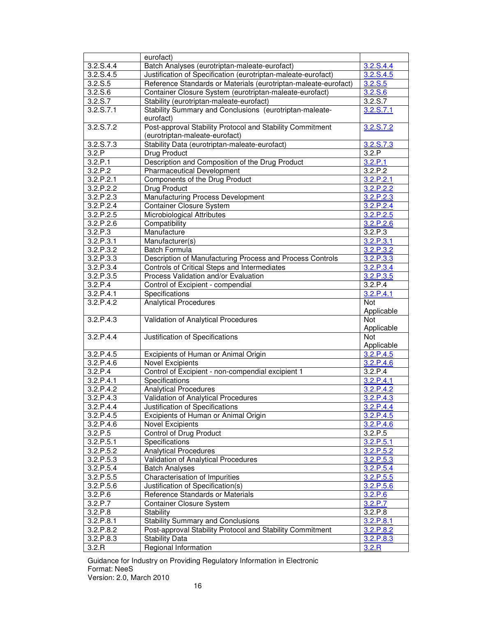|             | eurofact)                                                       |                         |
|-------------|-----------------------------------------------------------------|-------------------------|
| 3.2.S.4.4   | Batch Analyses (eurotriptan-maleate-eurofact)                   | 3.2.S.4.4               |
| 3.2.S.4.5   | Justification of Specification (eurotriptan-maleate-eurofact)   | 3.2.S.4.5               |
| 3.2. S.5    | Reference Standards or Materials (eurotriptan-maleate-eurofact) | 3.2. S. 5               |
| 3.2. S.6    | Container Closure System (eurotriptan-maleate-eurofact)         | 3.2. S.6                |
| 3.2. S.7    | Stability (eurotriptan-maleate-eurofact)                        | 3.2. S.7                |
| 3.2. S. 7.1 | Stability Summary and Conclusions (eurotriptan-maleate-         | 3.2. S. 7.1             |
|             | eurofact)                                                       |                         |
| 3.2.S.7.2   | Post-approval Stability Protocol and Stability Commitment       | 3.2.S.7.2               |
|             | (eurotriptan-maleate-eurofact)                                  |                         |
| 3.2. S. 7.3 | Stability Data (eurotriptan-maleate-eurofact)                   | 3.2.S.7.3               |
| 3.2.P       | Drug Product                                                    | 3.2.P                   |
| 3.2.P.1     | Description and Composition of the Drug Product                 | 3.2.P.1                 |
| 3.2.P.2     | <b>Pharmaceutical Development</b>                               | 3.2.P.2                 |
| 3.2.P.2.1   | Components of the Drug Product                                  | 3.2.P.2.1               |
| 3.2.P.2.2   | Drug Product                                                    | 3.2.P.2.2               |
| 3.2.P.2.3   | Manufacturing Process Development                               | 3.2.P.2.3               |
| 3.2.P.2.4   | <b>Container Closure System</b>                                 | 3.2.P.2.4               |
| 3.2.P.2.5   | Microbiological Attributes                                      | 3.2.P.2.5               |
| 3.2.P.2.6   | Compatibility                                                   | 3.2.P.2.6               |
| 3.2.P.3     | Manufacture                                                     | 3.2.P.3                 |
| 3.2.P.3.1   | Manufacturer(s)                                                 | 3.2.P.3.1               |
| 3.2.P.3.2   | <b>Batch Formula</b>                                            | 3.2.P.3.2               |
| 3.2.P.3.3   | Description of Manufacturing Process and Process Controls       | 3.2.P.3.3               |
| 3.2.P.3.4   | Controls of Critical Steps and Intermediates                    | 3.2.P.3.4               |
| 3.2.P.3.5   | Process Validation and/or Evaluation                            | 3.2.P.3.5               |
| 3.2.P.4     | Control of Excipient - compendial                               | 3.2.P.4                 |
| 3.2.P.4.1   | Specifications                                                  | 3.2.P.4.1               |
| 3.2.P.4.2   | <b>Analytical Procedures</b>                                    | Not                     |
|             |                                                                 | Applicable              |
| 3.2.P.4.3   | Validation of Analytical Procedures                             | <b>Not</b>              |
| 3.2.P.4.4   |                                                                 | Applicable              |
|             | Justification of Specifications                                 | Not                     |
| 3.2.P.4.5   |                                                                 | Applicable<br>3.2.P.4.5 |
| 3.2.P.4.6   | Excipients of Human or Animal Origin<br><b>Novel Excipients</b> | 3.2.P.4.6               |
| 3.2.P.4     | Control of Excipient - non-compendial excipient 1               | 3.2.P.4                 |
| 3.2.P.4.1   | Specifications                                                  | 3.2.P.4.1               |
| 3.2.P.4.2   | <b>Analytical Procedures</b>                                    | 3.2.P.4.2               |
| 3.2.P.4.3   | Validation of Analytical Procedures                             | 3.2.P.4.3               |
| 3.2.P.4.4   | Justification of Specifications                                 | 3.2.P.4.4               |
| 3.2.P.4.5   | Excipients of Human or Animal Origin                            | 3.2.P.4.5               |
| 3.2.P.4.6   | <b>Novel Excipients</b>                                         | 3.2.P.4.6               |
| 3.2.P.5     | Control of Drug Product                                         | 3.2.P.5                 |
| 3.2.P.5.1   | Specifications                                                  | 3.2.P.5.1               |
| 3.2.P.5.2   | <b>Analytical Procedures</b>                                    | 3.2.P.5.2               |
| 3.2.P.5.3   | Validation of Analytical Procedures                             | 3.2.P.5.3               |
| 3.2.P.5.4   | <b>Batch Analyses</b>                                           | 3.2.P.5.4               |
| 3.2.P.5.5   | Characterisation of Impurities                                  | 3.2.P.5.5               |
| 3.2.P.5.6   | Justification of Specification(s)                               | 3.2.P.5.6               |
| 3.2.P.6     | Reference Standards or Materials                                | 3.2.P.6                 |
| 3.2.P.7     | <b>Container Closure System</b>                                 | 3.2.P.7                 |
| 3.2.P.8     | Stability                                                       | 3.2.P.8                 |
| 3.2.P.8.1   | <b>Stability Summary and Conclusions</b>                        | 3.2.P.8.1               |
| 3.2.P.8.2   | Post-approval Stability Protocol and Stability Commitment       | 3.2.P.8.2               |
| 3.2.P.8.3   | <b>Stability Data</b>                                           | 3.2.P.8.3               |
| 3.2.R       | Regional Information                                            | 3.2.R                   |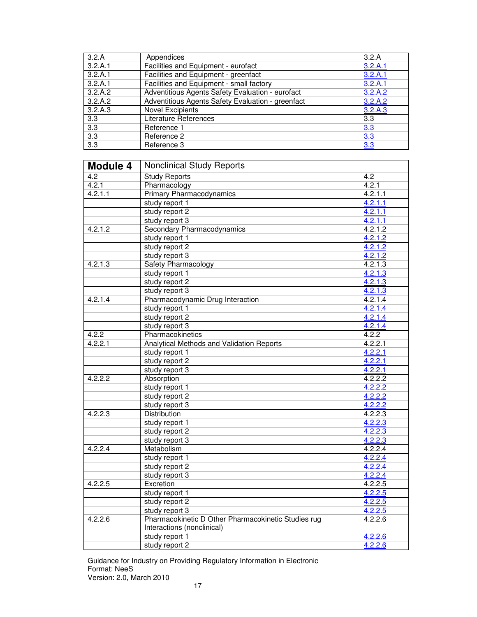| 3.2.A   | Appendices                                        | 3.2.A            |
|---------|---------------------------------------------------|------------------|
| 3.2.A.1 | Facilities and Equipment - eurofact               | 3.2.A.1          |
| 3.2.A.1 | Facilities and Equipment - greenfact              | 3.2.A.1          |
| 3.2.A.1 | Facilities and Equipment - small factory          | 3.2.A.1          |
| 3.2.A.2 | Adventitious Agents Safety Evaluation - eurofact  | 3.2.A.2          |
| 3.2.A.2 | Adventitious Agents Safety Evaluation - greenfact | 3.2.A.2          |
| 3.2.A.3 | <b>Novel Excipients</b>                           | 3.2.A.3          |
| 3.3     | Literature References                             | 3.3              |
| 3.3     | Reference 1                                       | 3.3              |
| 3.3     | Reference 2                                       | 3.3              |
| 3.3     | Reference 3                                       | $3.\overline{3}$ |

| <b>Module 4</b>      | <b>Nonclinical Study Reports</b>                    |         |
|----------------------|-----------------------------------------------------|---------|
| 4.2                  | <b>Study Reports</b>                                | 4.2     |
| 4.2.1                | Pharmacology                                        | 4.2.1   |
| 4.2.1.1              | <b>Primary Pharmacodynamics</b>                     | 4.2.1.1 |
|                      | study report 1                                      | 4.2.1.1 |
|                      | study report 2                                      | 4.2.1.1 |
|                      | study report 3                                      | 4.2.1.1 |
| 4.2.1.2              | Secondary Pharmacodynamics                          | 4.2.1.2 |
|                      | study report 1                                      | 4.2.1.2 |
|                      | study report 2                                      | 4.2.1.2 |
|                      | study report 3                                      | 4.2.1.2 |
| 4.2.1.3              | Safety Pharmacology                                 | 4.2.1.3 |
|                      | study report 1                                      | 4.2.1.3 |
|                      | study report 2                                      | 4.2.1.3 |
|                      | study report 3                                      | 4.2.1.3 |
| 4.2.1.4              | Pharmacodynamic Drug Interaction                    | 4.2.1.4 |
|                      | study report 1                                      | 4.2.1.4 |
|                      | study report 2                                      | 4.2.1.4 |
|                      | study report 3                                      | 4.2.1.4 |
| 4.2.2                | Pharmacokinetics                                    | 4.2.2   |
| 4.2.2.1              | Analytical Methods and Validation Reports           | 4.2.2.1 |
|                      | study report 1                                      | 4.2.2.1 |
|                      | study report 2                                      | 4.2.2.1 |
|                      | study report 3                                      | 4.2.2.1 |
| 4.2.2.2              | Absorption                                          | 4.2.2.2 |
|                      | study report 1                                      | 4.2.2.2 |
|                      | study report 2                                      | 4.2.2.2 |
|                      | study report 3                                      | 4.2.2.2 |
| 4.2.2.3              | <b>Distribution</b>                                 | 4.2.2.3 |
|                      | study report 1                                      | 4.2.2.3 |
|                      | study report 2                                      | 4.2.2.3 |
|                      | study report 3                                      | 4.2.2.3 |
| 4.2.2.4              | Metabolism                                          | 4.2.2.4 |
|                      | study report 1                                      | 4.2.2.4 |
|                      | study report 2                                      | 4.2.2.4 |
|                      | study report 3                                      | 4.2.2.4 |
| 4.2.2.5              | Excretion                                           | 4.2.2.5 |
|                      | study report 1                                      | 4.2.2.5 |
|                      | study report 2                                      | 4.2.2.5 |
|                      | study report 3                                      | 4.2.2.5 |
| $\overline{4.2.2.6}$ | Pharmacokinetic D Other Pharmacokinetic Studies rug | 4.2.2.6 |
|                      | Interactions (nonclinical)                          |         |
|                      | study report 1                                      | 4.2.2.6 |
|                      | study report 2                                      | 4.2.2.6 |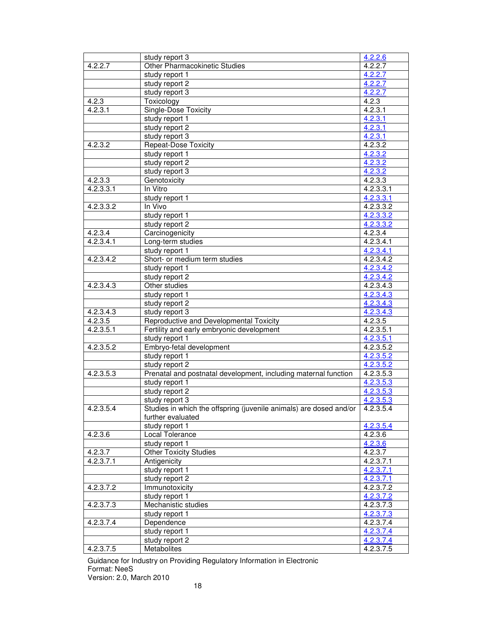|           | study report 3                                                     | 4.2.2.6                |
|-----------|--------------------------------------------------------------------|------------------------|
| 4.2.2.7   | <b>Other Pharmacokinetic Studies</b>                               | 4.2.2.7                |
|           | study report 1                                                     | 4.2.2.7                |
|           | study report 2                                                     | 4.2.2.7                |
|           | study report 3                                                     | 4.2.2.7                |
| 4.2.3     | Toxicology                                                         | 4.2.3                  |
| 4.2.3.1   | <b>Single-Dose Toxicity</b>                                        | 4.2.3.1                |
|           | study report 1                                                     | 4.2.3.1                |
|           | study report 2                                                     | 4.2.3.1                |
|           | study report 3                                                     | 4.2.3.1                |
| 4.2.3.2   | <b>Repeat-Dose Toxicity</b>                                        | 4.2.3.2                |
|           | study report 1                                                     | 4.2.3.2                |
|           | study report 2                                                     | 4.2.3.2                |
|           | study report 3                                                     | 4.2.3.2                |
| 4.2.3.3   | Genotoxicity                                                       | 4.2.3.3                |
| 4.2.3.3.1 | In Vitro                                                           | 4.2.3.3.1              |
|           | study report 1                                                     | 4.2.3.3.1              |
| 4.2.3.3.2 | In Vivo                                                            | 4.2.3.3.2              |
|           | study report 1                                                     | 4.2.3.3.2              |
|           | study report 2                                                     | 4.2.3.3.2              |
| 4.2.3.4   | Carcinogenicity                                                    | 4.2.3.4                |
| 4.2.3.4.1 | Long-term studies                                                  | 4.2.3.4.1              |
|           | study report 1                                                     | 4.2.3.4.1              |
| 4.2.3.4.2 | Short- or medium term studies                                      | 4.2.3.4.2              |
|           | study report 1                                                     | 4.2.3.4.2              |
|           | study report 2                                                     | 4.2.3.4.2              |
| 4.2.3.4.3 | Other studies                                                      | 4.2.3.4.3              |
|           | study report 1                                                     | 4.2.3.4.3              |
|           | study report 2                                                     | 4.2.3.4.3              |
| 4.2.3.4.3 | study report 3                                                     | $4.2.3.4.\overline{3}$ |
| 4.2.3.5   | Reproductive and Developmental Toxicity                            | 4.2.3.5                |
| 4.2.3.5.1 | Fertility and early embryonic development                          | 4.2.3.5.1              |
|           | study report 1                                                     | 4.2.3.5.1              |
| 4.2.3.5.2 | Embryo-fetal development                                           | 4.2.3.5.2              |
|           | study report 1                                                     | 4.2.3.5.2              |
|           | study report 2                                                     | 4.2.3.5.2              |
| 4.2.3.5.3 | Prenatal and postnatal development, including maternal function    | 4.2.3.5.3              |
|           | study report 1                                                     | 4.2.3.5.3              |
|           | study report 2                                                     | 4.2.3.5.3              |
|           | study report 3                                                     | 42353                  |
| 4.2.3.5.4 | Studies in which the offspring (juvenile animals) are dosed and/or | 4.2.3.5.4              |
|           | further evaluated                                                  |                        |
|           | study report 1                                                     | 4.2.3.5.4              |
| 4.2.3.6   | Local Tolerance                                                    | 4.2.3.6                |
|           | study report 1                                                     | 4.2.3.6                |
| 4.2.3.7   | <b>Other Toxicity Studies</b>                                      | 4.2.3.7                |
| 4.2.3.7.1 | Antigenicity                                                       | 4.2.3.7.1              |
|           | study report 1<br>study report 2                                   | 4.2.3.7.1              |
| 4.2.3.7.2 |                                                                    | 4.2.3.7.1              |
|           | Immunotoxicity<br>study report 1                                   | 4.2.3.7.2              |
| 4.2.3.7.3 | Mechanistic studies                                                | 4.2.3.7.2<br>4.2.3.7.3 |
|           | study report 1                                                     | 4.2.3.7.3              |
| 4.2.3.7.4 | Dependence                                                         | 4.2.3.7.4              |
|           | study report 1                                                     | 4.2.3.7.4              |
|           | study report 2                                                     | 4.2.3.7.4              |
| 4.2.3.7.5 | <b>Metabolites</b>                                                 | 4.2.3.7.5              |
|           |                                                                    |                        |

Guidance for Industry on Providing Regulatory Information in Electronic Format: NeeS

Version: 2.0, March 2010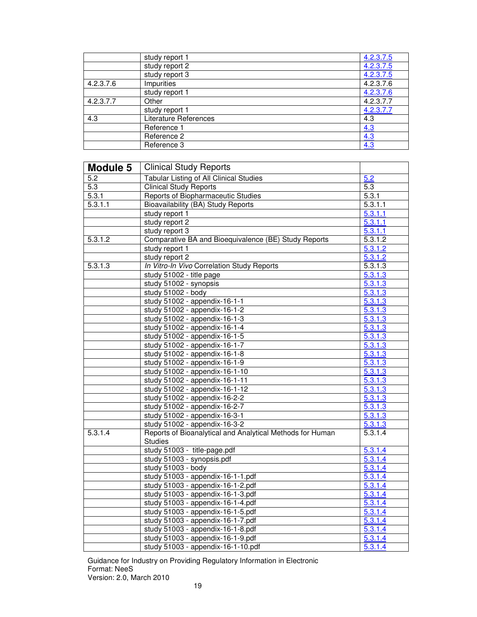|           | study report 1        | 4.2.3.7.5 |
|-----------|-----------------------|-----------|
|           | study report 2        | 4.2.3.7.5 |
|           | study report 3        | 4.2.3.7.5 |
| 4.2.3.7.6 | Impurities            | 4.2.3.7.6 |
|           | study report 1        | 4.2.3.7.6 |
| 4.2.3.7.7 | Other                 | 4.2.3.7.7 |
|           | study report 1        | 4.2.3.7.7 |
| 4.3       | Literature References | 4.3       |
|           | Reference 1           | 4.3       |
|           | Reference 2           | 4.3       |
|           | Reference 3           | 4.3       |

| <b>Module 5</b>      | <b>Clinical Study Reports</b>                                          |                    |  |
|----------------------|------------------------------------------------------------------------|--------------------|--|
| 5.2                  | <b>Tabular Listing of All Clinical Studies</b>                         | 5.2                |  |
| 5.3                  | <b>Clinical Study Reports</b>                                          | 5.3                |  |
| 5.3.1                | Reports of Biopharmaceutic Studies                                     | $\overline{5.3.1}$ |  |
| 5.3.1.1              | Bioavailability (BA) Study Reports                                     | 5.3.1.1            |  |
|                      | study report 1                                                         | 5.3.1.1            |  |
|                      | study report 2                                                         | 5.3.1.1            |  |
|                      | study report 3                                                         | 5.3.1.1            |  |
| 5.3.1.2              | Comparative BA and Bioequivalence (BE) Study Reports                   | 5.3.1.2            |  |
|                      | study report 1                                                         | 5.3.1.2            |  |
|                      | study report 2                                                         | 5.3.1.2            |  |
| $\overline{5.3.1.3}$ | In Vitro-In Vivo Correlation Study Reports                             | 5.3.1.3            |  |
|                      | study 51002 - title page                                               | 5.3.1.3            |  |
|                      | study 51002 - synopsis                                                 | 5.3.1.3            |  |
|                      | study 51002 - body                                                     | 5.3.1.3            |  |
|                      | study 51002 - appendix-16-1-1                                          | 5.3.1.3            |  |
|                      | study 51002 - appendix-16-1-2                                          | 5.3.1.3            |  |
|                      | study 51002 - appendix-16-1-3                                          | 5.3.1.3            |  |
|                      | study 51002 - appendix-16-1-4                                          | 5.3.1.3            |  |
|                      | study 51002 - appendix-16-1-5                                          | 5.3.1.3            |  |
|                      | study 51002 - appendix-16-1-7                                          | 5.3.1.3            |  |
|                      | study 51002 - appendix-16-1-8                                          | 5.3.1.3            |  |
|                      | study 51002 - appendix-16-1-9                                          | 5.3.1.3            |  |
|                      | study 51002 - appendix-16-1-10                                         | 5.3.1.3            |  |
|                      | study 51002 - appendix-16-1-11                                         | 5.3.1.3            |  |
|                      | study 51002 - appendix-16-1-12                                         | 5.3.1.3            |  |
|                      | study 51002 - appendix-16-2-2                                          | 5.3.1.3            |  |
|                      | study 51002 - appendix-16-2-7                                          | 5.3.1.3            |  |
|                      | study 51002 - appendix-16-3-1                                          | 5.3.1.3            |  |
|                      | study 51002 - appendix-16-3-2                                          | 5.3.1.3            |  |
| 5.3.1.4              | Reports of Bioanalytical and Analytical Methods for Human              | 5.3.1.4            |  |
|                      | <b>Studies</b>                                                         |                    |  |
|                      | study 51003 - title-page.pdf                                           | 5.3.1.4            |  |
|                      | study 51003 - synopsis.pdf                                             | 5.3.1.4            |  |
|                      | study 51003 - body                                                     | 5.3.1.4            |  |
|                      | study 51003 - appendix-16-1-1.pdf                                      | 5.3.1.4            |  |
|                      | study 51003 - appendix-16-1-2.pdf                                      | 5.3.1.4            |  |
|                      | study 51003 - appendix-16-1-3.pdf                                      | 5.3.1.4            |  |
|                      | study 51003 - appendix-16-1-4.pdf                                      | 5.3.1.4            |  |
|                      | study 51003 - appendix-16-1-5.pdf                                      | 5.3.1.4<br>5.3.1.4 |  |
|                      | study 51003 - appendix-16-1-7.pdf<br>study 51003 - appendix-16-1-8.pdf | 5.3.1.4            |  |
|                      | study 51003 - appendix-16-1-9.pdf                                      | 5.3.1.4            |  |
|                      | study 51003 - appendix-16-1-10.pdf                                     | 5.3.1.4            |  |
|                      |                                                                        |                    |  |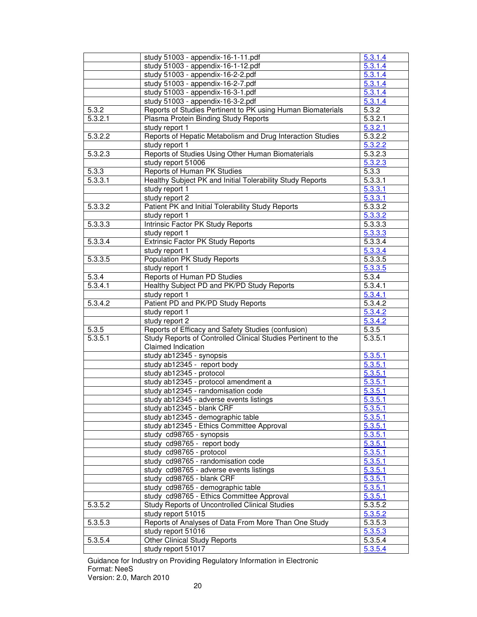|         | study 51003 - appendix-16-1-11.pdf                                                  | 5.3.1.4              |
|---------|-------------------------------------------------------------------------------------|----------------------|
|         | study 51003 - appendix-16-1-12.pdf                                                  | 5.3.1.4              |
|         | study 51003 - appendix-16-2-2.pdf                                                   | $5.\overline{3.1.4}$ |
|         | study 51003 - appendix-16-2-7.pdf                                                   | 5.3.1.4              |
|         | study 51003 - appendix-16-3-1.pdf                                                   | 5.3.1.4              |
|         | study 51003 - appendix-16-3-2.pdf                                                   | 5.3.1.4              |
| 5.3.2   | Reports of Studies Pertinent to PK using Human Biomaterials                         | 5.3.2                |
| 5.3.2.1 | Plasma Protein Binding Study Reports                                                | 5.3.2.1              |
|         | study report 1                                                                      | 5.3.2.1              |
| 5.3.2.2 | Reports of Hepatic Metabolism and Drug Interaction Studies                          | 5.3.2.2              |
|         | study report 1                                                                      | 5.3.2.2              |
| 5.3.2.3 | Reports of Studies Using Other Human Biomaterials                                   | 5.3.2.3              |
|         | study report 51006                                                                  | 5.3.2.3              |
| 5.3.3   | Reports of Human PK Studies                                                         | 5.3.3                |
| 5.3.3.1 | Healthy Subject PK and Initial Tolerability Study Reports                           | 5.3.3.1              |
|         | study report 1                                                                      | 5.3.3.1              |
|         | study report 2                                                                      | 5.3.3.1              |
| 5.3.3.2 | Patient PK and Initial Tolerability Study Reports                                   | 5.3.3.2              |
|         | study report 1                                                                      | 5.3.3.2              |
| 5.3.3.3 | Intrinsic Factor PK Study Reports                                                   | 5.3.3.3              |
|         | study report 1                                                                      | 5.3.3.3              |
| 5.3.3.4 | <b>Extrinsic Factor PK Study Reports</b>                                            | 5.3.3.4              |
|         | study report 1                                                                      | 5.3.3.4              |
| 5.3.3.5 | Population PK Study Reports                                                         | 5.3.3.5              |
|         | study report 1                                                                      | 5.3.3.5              |
| 5.3.4   | Reports of Human PD Studies                                                         | 5.3.4                |
| 5.3.4.1 | Healthy Subject PD and PK/PD Study Reports                                          | 5.3.4.1              |
|         | study report 1                                                                      | 5.3.4.1              |
| 5.3.4.2 | Patient PD and PK/PD Study Reports                                                  | 5.3.4.2              |
|         | study report 1                                                                      | 5.3.4.2              |
|         | study report 2                                                                      | 5.3.4.2              |
| 5.3.5   | Reports of Efficacy and Safety Studies (confusion)                                  | 5.3.5                |
| 5.3.5.1 | Study Reports of Controlled Clinical Studies Pertinent to the<br>Claimed Indication | 5.3.5.1              |
|         | study ab12345 - synopsis                                                            | 5.3.5.1              |
|         | study ab12345 - report body                                                         | 5.3.5.1              |
|         | study ab12345 - protocol                                                            | 5.3.5.1              |
|         | study ab12345 - protocol amendment a                                                | 5.3.5.1              |
|         | study ab12345 - randomisation code                                                  | 5.3.5.1              |
|         | study ab12345 - adverse events listings                                             | 5.3.5.1              |
|         | study ab12345 - blank CRF                                                           | 5.3.5.1              |
|         | study ab12345 - demographic table                                                   | 5.3.5.1              |
|         | study ab12345 - Ethics Committee Approval                                           | 5.3.5.1              |
|         | study cd98765 - synopsis                                                            | 5.3.5.1              |
|         | study cd98765 - report body                                                         | 5.3.5.1              |
|         | study cd98765 - protocol                                                            | 5.3.5.1              |
|         | study cd98765 - randomisation code                                                  | 5.3.5.1              |
|         | study cd98765 - adverse events listings                                             | 5.3.5.1              |
|         | study cd98765 - blank CRF                                                           | 5.3.5.1              |
|         | study cd98765 - demographic table                                                   | 5.3.5.1              |
|         | study cd98765 - Ethics Committee Approval                                           | 5.3.5.1              |
| 5.3.5.2 | <b>Study Reports of Uncontrolled Clinical Studies</b>                               | 5.3.5.2              |
| 5.3.5.3 | study report 51015<br>Reports of Analyses of Data From More Than One Study          | 5.3.5.2<br>5.3.5.3   |
|         | study report 51016                                                                  | 5.3.5.3              |
| 5.3.5.4 | <b>Other Clinical Study Reports</b>                                                 | 5.3.5.4              |
|         | study report 51017                                                                  | 5.3.5.4              |
|         |                                                                                     |                      |

Guidance for Industry on Providing Regulatory Information in Electronic Format: NeeS

Version: 2.0, March 2010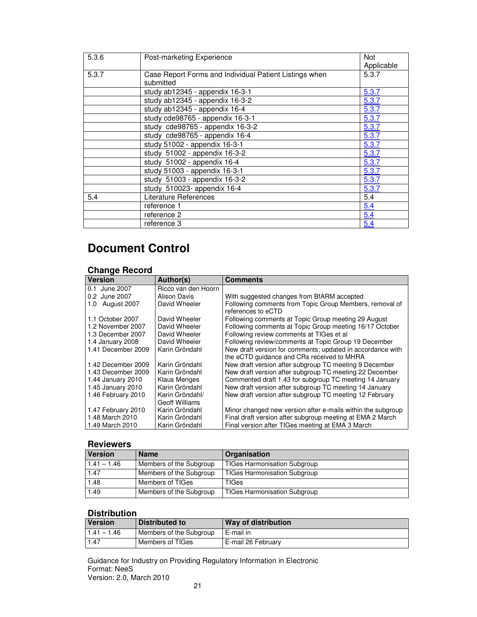| 5.3.6 | Post-marketing Experience                                           | <b>Not</b><br>Applicable |
|-------|---------------------------------------------------------------------|--------------------------|
| 5.3.7 | Case Report Forms and Individual Patient Listings when<br>submitted | 5.3.7                    |
|       | study ab12345 - appendix 16-3-1                                     | 5.3.7                    |
|       | study ab12345 - appendix 16-3-2                                     | 5.3.7                    |
|       | study ab12345 - appendix 16-4                                       | 5.3.7                    |
|       | study cde98765 - appendix 16-3-1                                    | 5.3.7                    |
|       | study cde98765 - appendix 16-3-2                                    | 5.3.7                    |
|       | study cde98765 - appendix 16-4                                      | 5.3.7                    |
|       | study 51002 - appendix 16-3-1                                       | 5.3.7                    |
|       | study 51002 - appendix 16-3-2                                       | 5.3.7                    |
|       | study 51002 - appendix 16-4                                         | 5.3.7                    |
|       | study 51003 - appendix 16-3-1<br>5.3.7                              |                          |
|       | study 51003 - appendix 16-3-2<br>5.3.7                              |                          |
|       | study 510023- appendix 16-4<br>5.3.7                                |                          |
| 5.4   | Literature References                                               |                          |
|       | reference 1                                                         | 5.4                      |
|       | reference 2                                                         | 5.4                      |
|       | reference 3                                                         | 5.4                      |

## **Document Control**

### **Change Record**

| <b>Version</b>     | Author(s)           | <b>Comments</b>                                                               |  |
|--------------------|---------------------|-------------------------------------------------------------------------------|--|
| 0.1 June 2007      | Ricco van den Hoorn |                                                                               |  |
| 0.2 June 2007      | Alison Davis        | With suggested changes from BfARM accepted                                    |  |
| August 2007<br>1.0 | David Wheeler       | Following comments from Topic Group Members, removal of<br>references to eCTD |  |
| 1.1 October 2007   | David Wheeler       | Following comments at Topic Group meeting 29 August                           |  |
| 1.2 November 2007  | David Wheeler       | Following comments at Topic Group meeting 16/17 October                       |  |
| 1.3 December 2007  | David Wheeler       | Following review comments at TIGes et al                                      |  |
| 1.4 January 2008   | David Wheeler       | Following review/comments at Topic Group 19 December                          |  |
| 1.41 December 2009 | Karin Gröndahl      | New draft version for comments; updated in accordance with                    |  |
|                    |                     | the eCTD quidance and CRs received to MHRA                                    |  |
| 1.42 December 2009 | Karin Gröndahl      | New draft version after subgroup TC meeting 9 December                        |  |
| 1.43 December 2009 | Karin Gröndahl      | New draft version after subgroup TC meeting 22 December                       |  |
| 1.44 January 2010  | <b>Klaus Menges</b> | Commented draft 1.43 for subgroup TC meeting 14 January                       |  |
| 1.45 January 2010  | Karin Gröndahl      | New draft version after subgroup TC meeting 14 January                        |  |
| 1.46 February 2010 | Karin Gröndahl/     | New draft version after subgroup TC meeting 12 February                       |  |
|                    | Geoff Williams      |                                                                               |  |
| 1.47 February 2010 | Karin Gröndahl      | Minor changed new version after e-mails within the subgroup                   |  |
| 1.48 March 2010    | Karin Gröndahl      | Final draft version after subgroup meeting at EMA 2 March                     |  |
| 1.49 March 2010    | Karin Gröndahl      | Final version after TIGes meeting at EMA 3 March                              |  |
|                    |                     |                                                                               |  |

## **Reviewers**

| <b>Version</b> | <b>Name</b>             | Organisation                        |
|----------------|-------------------------|-------------------------------------|
| $1.41 - 1.46$  | Members of the Subgroup | <b>TIGes Harmonisation Subgroup</b> |
| 1.47           | Members of the Subgroup | <b>TIGes Harmonisation Subgroup</b> |
| 1.48           | Members of TIGes        | TIGes                               |
| 1.49           | Members of the Subgroup | <b>TIGes Harmonisation Subgroup</b> |

### **Distribution**

| <b>Version</b> | Distributed to          | Way of distribution |
|----------------|-------------------------|---------------------|
| $1.41 - 1.46$  | Members of the Subgroup | E-mail in           |
| 1.47           | Members of TIGes        | E-mail 26 February  |